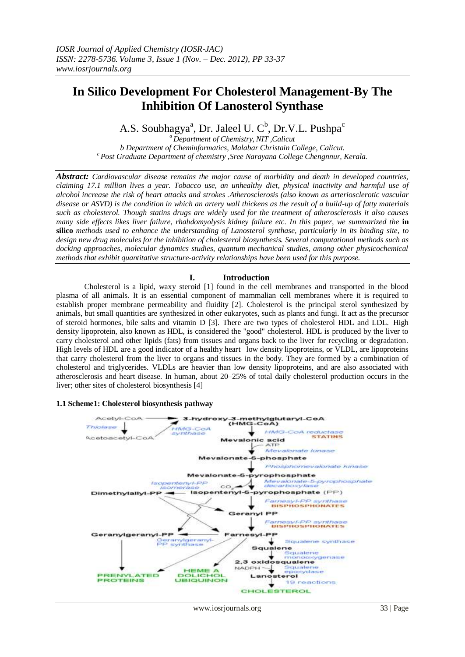# **In Silico Development For Cholesterol Management-By The Inhibition Of Lanosterol Synthase**

A.S. Soubhagya<sup>a</sup>, Dr. Jaleel U. C<sup>b</sup>, Dr.V.L. Pushpa<sup>c</sup>

*<sup>a</sup>Department of Chemistry, NIT ,Calicut b Department of Cheminformatics, Malabar Christain College, Calicut. <sup>c</sup> Post Graduate Department of chemistry ,Sree Narayana College Chengnnur, Kerala.*

*Abstract: Cardiovascular disease remains the major cause of morbidity and death in developed countries, claiming 17.1 million lives a year. Tobacco use, an unhealthy diet, physical inactivity and harmful use of alcohol increase the risk of heart attacks and strokes .Atherosclerosis (also known as arteriosclerotic vascular disease or ASVD) is the condition in which an artery wall thickens as the result of a build-up of fatty materials such as [cholesterol.](http://en.wikipedia.org/wiki/Cholesterol) Though statins drugs are widely used for the treatment of atherosclerosis it also causes many side effects likes liver failure, rhabdomyolysis kidney failure etc. In this paper, we summarized the* **in silico** *methods used to enhance the understanding of Lanosterol synthase, particularly in its binding site, to design new drug molecules for the inhibition of cholesterol biosynthesis. Several computational methods such as docking approaches, molecular dynamics studies, quantum mechanical studies, among other physicochemical methods that exhibit quantitative structure-activity relationships have been used for this purpose.*

### **I. Introduction**

Cholesterol is a lipid, waxy [steroid \[](http://en.wikipedia.org/wiki/Steroid)1] found in the [cell membranes](http://en.wikipedia.org/wiki/Cell_membrane) and transported in the [blood](http://en.wikipedia.org/wiki/Blood_plasma)  [plasma](http://en.wikipedia.org/wiki/Blood_plasma) of all [animals.](http://en.wikipedia.org/wiki/Animal) It is an essential component of mammalian cell membranes where it is required to establish proper [membrane permeability](http://en.wikipedia.org/wiki/Membrane_permeability) and [fluidity \[](http://en.wikipedia.org/wiki/Membrane_fluidity)2]. Cholesterol is the principal [sterol](http://en.wikipedia.org/wiki/Sterol) synthesized by animals, but small quantities are synthesized in other [eukaryotes,](http://en.wikipedia.org/wiki/Eukaryote) such as [plants](http://en.wikipedia.org/wiki/Plant) and [fungi.](http://en.wikipedia.org/wiki/Fungus) It act as the precursor of steroid hormones, bile salts and vitamin D [3]. There are two types of cholesterol HDL and LDL. High density lipoprotein, also known as HDL, is considered the "good" cholesterol. HDL is produced by the liver to carry cholesterol and other lipids (fats) from tissues and organs back to the liver for recycling or degradation. High levels of HDL are a good indicator of a healthy heart low density lipoproteins, or VLDL, are lipoproteins that carry cholesterol from the liver to organs and tissues in the body. They are formed by a combination of cholesterol and triglycerides. VLDLs are heavier than low density lipoproteins, and are also associated with atherosclerosis and heart disease. In human, about 20–25% of total daily cholesterol production occurs in the [liver;](http://en.wikipedia.org/wiki/Liver) other sites of cholesterol biosynthesis [4]

### **1.1 Scheme1: Cholesterol biosynthesis pathway**

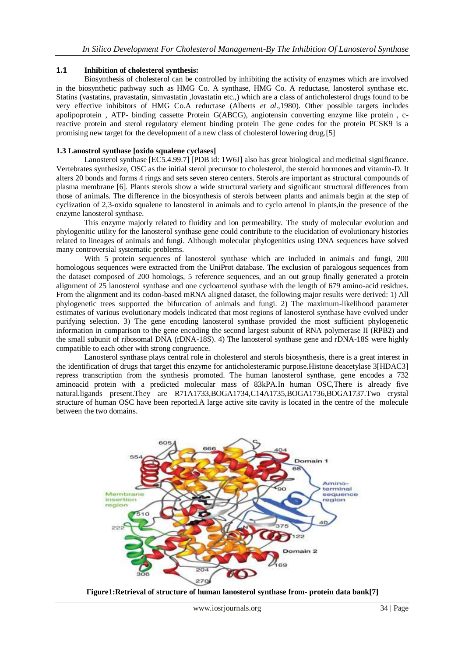### **1.1 Inhibition of cholesterol synthesis:**

Biosynthesis of cholesterol can be controlled by inhibiting the activity of enzymes which are involved in the biosynthetic pathway such as HMG Co. A synthase, HMG Co. A reductase, lanosterol synthase etc. Statins (vastatins, pravastatin, simvastatin ,lovastatin etc.,) which are a class of anticholesterol drugs found to be very effective inhibitors of HMG Co.A reductase (Alberts *et al*.,1980). Other possible targets includes apolipoprotein , ATP- binding cassette Protein G(ABCG), angiotensin converting enzyme like protein , creactive protein and sterol regulatory element binding protein The gene codes for the protein PCSK9 is a promising new target for the development of a new class of cholesterol lowering drug.[5]

## **1.3 Lanostrol synthase [oxido squalene cyclases]**

Lanosterol synthase [EC5.4.99.7] [PDB id: 1W6J] also has great biological and medicinal significance. Vertebrates synthesize, OSC as the initial sterol precursor to cholesterol, the steroid hormones and vitamin-D. It alters 20 bonds and forms 4 rings and sets seven stereo centers. Sterols are important as structural compounds of plasma membrane [6]. Plants sterols show a wide structural variety and significant structural differences from those of animals. The difference in the biosynthesis of sterols between plants and animals begin at the step of cyclization of 2,3-oxido squalene to lanosterol in animals and to cyclo artenol in plants,in the presence of the enzyme lanosterol synthase.

This enzyme majorly related to fluidity and ion permeability. The study of molecular evolution and phylogenitic utility for the lanosterol synthase gene could contribute to the elucidation of evolutionary histories related to lineages of animals and fungi. Although molecular phylogenitics using DNA sequences have solved many controversial systematic problems.

With 5 protein sequences of lanosterol synthase which are included in animals and fungi, 200 homologous sequences were extracted from the UniProt database. The exclusion of paralogous sequences from the dataset composed of 200 homologs, 5 reference sequences, and an out group finally generated a protein alignment of 25 lanosterol synthase and one cycloartenol synthase with the length of 679 amino-acid residues. From the alignment and its codon-based mRNA aligned dataset, the following major results were derived: 1) All phylogenetic trees supported the bifurcation of animals and fungi. 2) The maximum-likelihood parameter estimates of various evolutionary models indicated that most regions of lanosterol synthase have evolved under purifying selection. 3) The gene encoding lanosterol synthase provided the most sufficient phylogenetic information in comparison to the gene encoding the second largest subunit of RNA polymerase II (RPB2) and the small subunit of ribosomal DNA (rDNA-18S). 4) The lanosterol synthase gene and rDNA-18S were highly compatible to each other with strong congruence.

Lanosterol synthase plays central role in cholesterol and sterols biosynthesis, there is a great interest in the identification of drugs that target this enzyme for anticholesteramic purpose.Histone deacetylase 3[HDAC3] repress transcription from the synthesis promoted. The human lanosterol synthase, gene encodes a 732 aminoacid protein with a predicted molecular mass of 83kPA.In human OSC,There is already five natural.ligands present.They are R71A1733,BOGA1734,C14A1735,BOGA1736,BOGA1737.Two crystal structure of human OSC have been reported.A large active site cavity is located in the centre of the molecule between the two domains.



**Figure1:Retrieval of structure of human lanosterol synthase from- protein data bank[7]**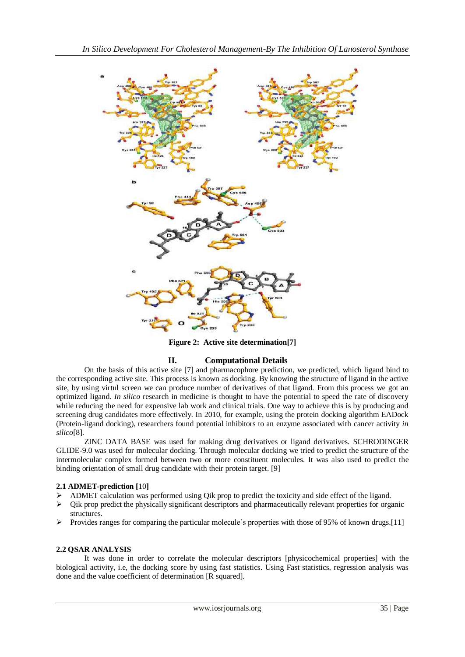

**Figure 2: Active site determination[7]**

## **II. Computational Details**

On the basis of this active site [7] and pharmacophore prediction, we predicted, which ligand bind to the corresponding active site. This process is known as docking. By knowing the structure of ligand in the active site, by using virtul screen we can produce number of derivatives of that ligand. From this process we got an optimized ligand. *In silico* research in medicine is thought to have the potential to speed the rate of discovery while reducing the need for expensive lab work and clinical trials. One way to achieve this is by producing and screening drug candidates more effectively. In 2010, for example, using the protein docking algorithm EADock [\(Protein-ligand docking\)](http://en.wikipedia.org/wiki/Protein-ligand_docking), researchers found potential inhibitors to an enzyme associated with cancer activity *in silico*[8].

ZINC DATA BASE was used for making drug derivatives or ligand derivatives. SCHRODINGER GLIDE-9.0 was used for molecular docking. Through molecular docking we tried to predict the structure of the intermolecular complex formed between two or more constituent molecules. It was also used to predict the binding orientation of small drug candidate with their protein target. [9]

### **2.1 ADMET-prediction [**10**]**

- ADMET calculation was performed using Qik prop to predict the toxicity and side effect of the ligand.
- $\triangleright$  Qik prop predict the physically significant descriptors and pharmaceutically relevant properties for organic structures.
- Provides ranges for comparing the particular molecule's properties with those of 95% of known drugs. [11]

### **2.2 QSAR ANALYSIS**

It was done in order to correlate the molecular descriptors [physicochemical properties] with the biological activity, i.e, the docking score by using fast statistics. Using Fast statistics, regression analysis was done and the value coefficient of determination [R squared].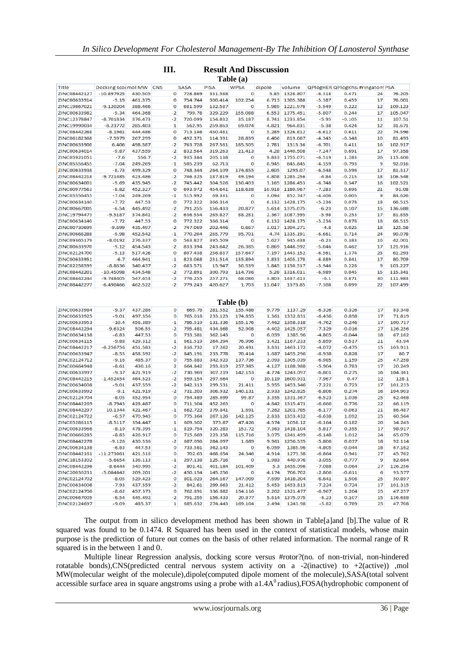| Title        | Docking scolmol MW |         | CNS     | <b>SASA</b> | PISA    | <b>WPSA</b> | dipole | volume         |                    | QPlogHER QPlogKhsi #ringatom PSA |    |         |
|--------------|--------------------|---------|---------|-------------|---------|-------------|--------|----------------|--------------------|----------------------------------|----|---------|
| ZINC08442127 | $-10.897925$       | 430.505 | o       | 728.869     | 331.588 | o           | 5.85   | 1328.807       | $-6.318$           | 0.471                            | 24 | 76.205  |
| ZINC00633914 | $-9.19$            | 461.375 | o       | 754.744     | 300.414 | 102.254     | 6.713  | 1305.388       | $-5.387$           | 0.459                            | 17 | 76.001  |
| ZINC19867021 | $-9.120204$        | 388,466 | o       | 681.599     | 132.587 | o           | 5,989  | 1221.978       | $-5.949$           | 0.222                            | 12 | 109.123 |
| ZINC00633982 | -9,34              | 464.368 | -2      | 799.78      | 329,229 | 155.088     | 6,553  | 1375.451       | $-5.807$           | 0.244                            | 17 | 105.047 |
| ZINC12378847 | $-8,701834$        | 376,473 | $-2$    | 720.099     | 154,832 | 35,187      | 8,741  | 1233.854       | $-5.95$            | -0.105                           | 11 | 107.51  |
| ZINC19990034 | $-8.23772$         | 285,403 | 1       | 562.95      | 259.863 | 69.074      | 4.821  | 964.831        | $-5.38$            | 0.424                            | 12 | 31.671  |
| ZINC08442268 | -8.1961            | 444.486 | o       | 713.146     | 450.481 | o           | 5.289  | 1326.812       | $-6.612$           | 0.611                            | 22 | 74.596  |
| ZINC06182368 | $-7.5979$          | 267.299 | o       | 492.371     | 114.391 | 28.839      | 6.406  | 819.067        | $-4.345$           | $-0.348$                         | 10 | 81.493  |
| ZINC00633900 | 6.406              | 498.387 | $-2$    | 763.728     | 267.561 | 185.505     | 2.781  | 1313.36        | $-6.701$           | 0.411                            | 16 | 102.917 |
| ZINC00634014 | $-9.87$            | 437.559 | $-2$    | 832.564     | 319,263 | 21,413      | 4.28   | 1440.508       | $-7.247$           | 0.691                            | 17 | 97,358  |
| ZINC05921051 | $-7.6$             | 556.7   | $-2$    | 935,384     | 205.138 | o           | 9,833  | 1755.071       | $-6,519$           | 1,283                            | 26 | 115,406 |
| ZINC05556455 | $-7.04$            | 249.269 | -1      | 505.239     | 62.713  | o           | 0.945  | 845,845        | $-4.159$           | $-0.793$                         | 9  | 92.016  |
| ZINC00633938 | $-8.73$            | 499.329 | 0       | 748.344     | 264.109 | 174.855     | 2.605  | 1295.07        | $-6,548$           | 0.596                            | 17 | 81.317  |
| ZINC08442218 | $-9.721485$        | 423.486 | $-2$    | 746.325     | 187.819 | 49.194      | 4.808  | 1285.256       | -4.84              | $-0.215$                         | 18 | 106.548 |
| ZINC00634001 | $-9.69$            | 435.945 | $-2$    | 745.442     | 304.526 | 130.403     | 3.165  | 1286.453       | $-6.748$           | 0.347                            | 16 | 102.521 |
| ZINC00977563 | $-8.82$            | 452.327 | o       | 693.972     | 454.641 | 118.638     | 10.918 | 1180.967       | $-7.283$           | 0.696                            | 21 | 91.08   |
| ZINC05556455 | $-7.04$            | 249.269 | $-1$    | 515.992     | 69.331  | o           | 3.094  | 852.747        | $-4,406$           | 0.005                            | 9  | 84.626  |
| ZINC00634140 | $-7,72$            | 447.53  | 0       | 772,322     | 366.314 | o           | 6.132  | 1428.175       | $-5,236$           | 0.078                            | 18 | 66,515  |
| ZINC00667005 | $-6,54$            | 445,492 | -2      | 791.255     | 156,433 | 20,877      | 5,614  | 1375.075       |                    | 0.107                            | 15 | 136.688 |
| ZINC19794473 |                    | 374.841 | $-2$    |             |         |             | 2.367  |                | $-6,23$<br>$-5.98$ |                                  | 17 |         |
|              | -9.5187            |         |         | 636.554     | 265.827 | 88,281      |        | 1087.595       |                    | 0.253                            |    | 81.855  |
| ZINC00634140 | $-7.72$            | 447.53  | o       | 772.322     | 366.314 | ٥           | 6.132  | 1428.175       | $-5.236$           | 0.078                            | 18 | 66.515  |
| ZINC00730699 | $-9.699$           | 435.497 | $-2$    | 747.069     | 202.446 | 0.667       | 3.017  | 1304.271       | $-4.8$             | 0.025                            | 18 | 125.58  |
| ZINC00666288 | -9.98              | 452.542 | $-1$    | 770.204     | 265.779 | 95.701      | 4.74   | 1335.191       | $-6.661$           | 0.714                            | 24 | 90.078  |
| ZINC09365179 | $-8.0192$          | 276.337 | 0       | 563.827     | 395.509 | o           | 5,627  | 945,438        | $-6,23$            | 0.383                            | 16 | 42.001  |
| ZINC00633970 | $-9,12$            | 454.543 | $-2$    | 833,394     | 243.642 | 26,385      | 0.869  | 1448.592       | $-5,046$           | 0.462                            | 17 | 121.916 |
| ZINC02124700 | $-9.13$            | 517.426 | 0       | 807.438     | 256.837 | 157.647     | 7.197  | 1443.152       | $-6,561$           | 1.374                            | 25 | 61.293  |
| ZINC00633951 | $-6.7$             | 464.941 | -1      | 823.068     | 231.514 | 135.894     | 5.833  | 1405.178       | $-6.889$           | 0.841                            | 17 | 80.709  |
| ZINC02258599 | $-8.8636$          | 340.437 | $-2$    | 683.571     | 15.947  | 30.539      | 3.845  | 1150.517       | $-5.946$           | 0.228                            | 9  | 103.227 |
| ZINC08442201 | $-10.45098$        | 434.548 | $-2$    | 772.891     | 300.793 | 114.736     | 5.28   | 1316.011       | $-6.989$           | 0.045                            | 15 | 115.341 |
| ZINC08442244 | $-9,748405$        | 547.453 | $-2$    | 776.255     | 257.271 | 68.086      | 3.803  | 1437.413       | $-6.1$             | 0.871                            | 30 | 111.983 |
| ZINC08442277 | $-6,490466$        | 462.522 | $-2$    | 779.243     | 420.627 | 1,703       | 11.047 | 1373.85        | $-7,308$           | 0.099                            | 22 | 107.499 |
| Table (b)    |                    |         |         |             |         |             |        |                |                    |                                  |    |         |
| ZINC00633984 | $-9,37$            | 437,286 | 0       | 669.78      | 281.552 | 155,488     | 9,779  | 1137.29        | $-6,326$           | 0.326                            | 17 | 83,348  |
| ZINC00633925 | $-9.01$            | 497.356 | o       | 765.018     | 233.123 | 174.855     | 1.361  | 1332.831       | $-6.436$           | 0.898                            | 17 | 71.819  |
| ZINC00633953 | $-10.4$            | 456.389 | $-1$    | 786.519     | 131.336 | 155.176     | 7.462  | 1358,318       | $-4,762$           | 0.246                            | 17 | 100.717 |
| ZINC08442294 | $-9,6324$          | 506.55  | $-2$    | 795,481     | 434.868 | 52,908      | 4.402  | 1425.057       | $-7,329$           | $-0.016$                         | 27 | 126,256 |
| ZINC00634138 | $-6.83$            | 447.53  | o       | 733.581     | 362.143 | o           | 6.059  | 1385.96        | $-4.805$           | $-0.044$                         | 18 | 67.162  |
| ZINC00634115 | $-9.88$            | 429.312 | 1       | 661.519     | 264.294 | 76.996      | 3,421  | 1167.233       | $-5.859$           | 0.517                            | 21 | 43.94   |
| ZINC08442217 | $-6,256756$        | 451.583 | $-2$    | 816,732     | 17.262  | 20.491      | 3.831  | 1463.172       | $-4,072$           | $-0.475$                         | 15 | 103.911 |
| ZINC00633947 | $-8.55$            | 458.592 | $-2$    | 845.191     | 233.778 | 70.414      | 1.687  | 1455.296       | $-6.938$           | 0.828                            | 17 | 80.7    |
| ZINC02124712 | $-9.16$            | 485.37  | o       | 755,883     | 342,923 | 137.736     | 2,093  | 1305.039       | $-6,985$           | 1,159                            | 25 | 47.258  |
| ZINC00664948 | $-8.61$            | 430.16  | 2       | 664.842     | 293.819 | 257.985     | 4.127  | 1188.988       | $-5,904$           | 0.783                            | 17 | 20.249  |
| ZINC00633997 | $-9.37$            | 421.919 | $-2$    | 730.969     | 307.219 | 142.153     | 4.774  | 1243.097       | $-6.801$           | 0.275                            | 16 | 104.361 |
| ZINC08442215 | $-1.452454$        | 464.523 | $-2$    | 959.154     | 297.664 | o           | 10,119 | 1600.931       | $-7,967$           | 0.47                             | 12 | 128.1   |
| ZINC00634008 | $-9.01$            | 437.559 | $-2$    | 842.313     | 299.531 | 21.411      | 5.955  | 1453.346       | $-7,221$           | 0.723                            | 17 | 101.233 |
| ZINC00633992 | $-9.1$             | 421.919 | $-2$    | 731.203     | 306.932 | 140.131     | 2.933  | 1242.825       | $-6,806$           | 0.274                            | 16 | 104.903 |
| ZINC02124704 | -8.05              | 452.954 | o       | 754,489     | 285.699 | 99.87       | 3,355  | 1331.367       | $-6,523$           | 1,036                            | 25 | 62,468  |
| ZINC08442269 | $-8.7943$          | 428.487 | o       | 711.504     | 452.263 | o           | 4.842  | 1315.471       | $-6.666$           | 0.776                            | 22 | 66.119  |
| ZINC08442297 | 10.1344            | 421.467 | -1      | 662.722     | 379.841 | 1.691       | 7.262  | 1201.785       | $-6,177$           | $-0.063$                         | 21 | 86,487  |
| ZINC02124722 | -6.57              | 470.945 | o       | 775,364     | 267.126 | 142.125     | 2,833  | 1353.432       | $-6,638$           | 1.092                            | 25 | 60.564  |
| ZINC05286115 | -8.5117            | 354.447 | 1       | 609.502     | 373.87  | 47.426      | 4.574  | 1058.12        | $-6.164$           | 0.182                            | 20 | 34.243  |
| ZINC00633966 | $-8.19$            | 478.395 | $^{-1}$ | 819,754     | 320,283 | 153.72      | 7.363  | 1418.104       | $-5,817$           | 0.355                            | 17 | 98,917  |
| ZINC00666285 | $-8.85$            | 426.917 | o       | 715.669     | 223.358 | 115.716     | 3.075  | 1241.499       | $-6,148$           | 1.012                            | 24 | 65.079  |
| ZINC08442278 | $-9,126$           | 430.536 | $-2$    | 687.096     | 284.097 | 1.689       | 9.961  | 1256.535       | $-5.806$           | 0.037                            | 18 | 92.114  |
| ZINC00634138 | $-6.83$            | 447.53  | o       | 733.581     | 362,143 | o           | 6,059  | 1385.96        | $-4,805$           | $-0.044$                         | 18 | 67,162  |
| ZINC08442161 | $-11.273061$       | 421.516 | o       | 702.63      | 468.654 | 24.346      | 4.914  | 1273.38        | $-6.864$           | 0.941                            | 27 | 45.762  |
| ZINC18153302 | $-5.6654$          | 136.113 | $-1$    | 297.138     | 125,716 | o           | 1.983  | 440.976        | $-3.055$           | $-0.777$                         | 9  | 82.664  |
| ZINC08442296 | $-8,6444$          | 540.995 | $-2$    | 801.41      | 401.184 | 101.409     | 5.3    | 1455.096       | $-7,088$           | 0.064                            | 27 | 126.256 |
| ZINC20030231 | $-5.084842$        | 209.201 | -2      | 450.154     | 145.256 | o           | 4.174  | 706.702        | $-2.806$           | $-0.611$                         | 6  | 93.577  |
| ZINC02124702 | $-8.05$            | 529,423 | o       | 801.023     | 264.167 | 147.009     |        | 7.699 1418.204 | $-6.641$           | 1.506                            | 25 | 50.897  |
| ZINC00634006 | $-7,93$            | 437.559 | -2      | 842.61      | 299.663 | 21.412      | 5,453  | 1453.813       | $-7,224$           | 0.724                            | 17 | 101.315 |
| ZINC02124706 | $-8.62$            | 457.373 | o       | 762.891     | 336.882 | 154.116     | 2.202  | 1321.477       | $-6.967$           | 1.204                            | 25 | 47.257  |
| ZINC00667005 | $-6,54$            | 445,492 | -2      | 791.255     | 156,433 | 20,877      | 5,614  | 1375.075       | $-6,23$            | 0.107                            | 15 | 136.688 |
| ZINC02124697 | $-9.09$            | 485.37  | 1       | 685.632     | 274.443 | 169.104     | 2,494  | 1243.98        | $-5.82$            | 0.789                            | 25 | 47.708  |

#### **III. Result And Disscussion Table (a)**

The output from in silico development method has been shown in Table[a]and [b].The value of R squared was found to be 0.1474. R Squared has been used in the context of statistical models, whose main purpose is the prediction of future out comes on the basis of other related information. The normal range of R squared is in the between 1 and 0.

Multiple linear Regression analysis, docking score versus #rotor?(no. of non-trivial, non-hindered rotatable bonds),CNS(predicted central nervous system activity on a -2(inactive) to +2(active)) ,mol MW(molecular weight of the molecule),dipole(computed dipole moment of the molecule),SASA(total solvent accessible surface area in square angstroms using a probe with a1.4A<sup>0</sup> radius),FOSA(hydrophobic component of